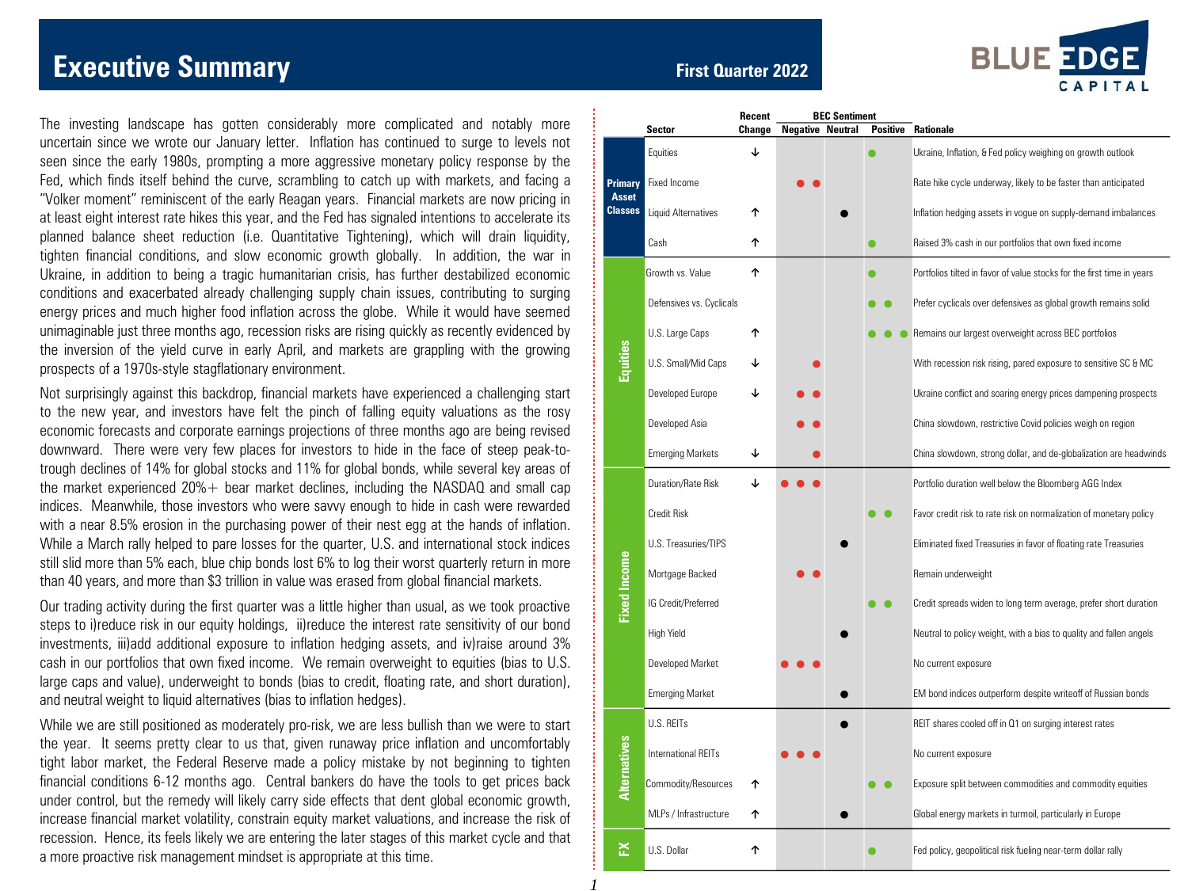# **Executive Summary** *CONDER SUMMARY <b>EXECUTIVE* Summary *First Quarter 2022*

The investing landscape has gotten considerably more complicated and notably more uncertain since we wrote our January letter. Inflation has continued to surge to levels not seen since the early 1980s, prompting a more aggressive monetary policy response by the Fed, which finds itself behind the curve, scrambling to catch up with markets, and facing a "Volker moment" reminiscent of the early Reagan years. Financial markets are now pricing in at least eight interest rate hikes this year, and the Fed has signaled intentions to accelerate its planned balance sheet reduction (i.e. Quantitative Tightening), which will drain liquidity, tighten financial conditions, and slow economic growth globally. In addition, the war in Ukraine, in addition to being a tragic humanitarian crisis, has further destabilized economic conditions and exacerbated already challenging supply chain issues, contributing to surging energy prices and much higher food inflation across the globe. While it would have seemed unimaginable just three months ago, recession risks are rising quickly as recently evidenced by the inversion of the yield curve in early April, and markets are grappling with the growing prospects of a 1970s-style stagflationary environment.

Not surprisingly against this backdrop, financial markets have experienced a challenging start to the new year, and investors have felt the pinch of falling equity valuations as the rosy economic forecasts and corporate earnings projections of three months ago are being revised downward. There were very few places for investors to hide in the face of steep peak-totrough declines of 14% for global stocks and 11% for global bonds, while several key areas of the market experienced  $20%$  + bear market declines, including the NASDAQ and small cap indices. Meanwhile, those investors who were savvy enough to hide in cash were rewarded with a near 8.5% erosion in the purchasing power of their nest egg at the hands of inflation. While a March rally helped to pare losses for the quarter, U.S. and international stock indices still slid more than 5% each, blue chip bonds lost 6% to log their worst quarterly return in more than 40 years, and more than \$3 trillion in value was erased from global financial markets.

Our trading activity during the first quarter was a little higher than usual, as we took proactive steps to i)reduce risk in our equity holdings, ii)reduce the interest rate sensitivity of our bond investments, iii)add additional exposure to inflation hedging assets, and iv)raise around 3% cash in our portfolios that own fixed income. We remain overweight to equities (bias to U.S. large caps and value), underweight to bonds (bias to credit, floating rate, and short duration), and neutral weight to liquid alternatives (bias to inflation hedges).

While we are still positioned as moderately pro-risk, we are less bullish than we were to start the year. It seems pretty clear to us that, given runaway price inflation and uncomfortably tight labor market, the Federal Reserve made a policy mistake by not beginning to tighten financial conditions 6-12 months ago. Central bankers do have the tools to get prices back under control, but the remedy will likely carry side effects that dent global economic growth, increase financial market volatility, constrain equity market valuations, and increase the risk of recession. Hence, its feels likely we are entering the later stages of this market cycle and that a more proactive risk management mindset is appropriate at this time.

*1*



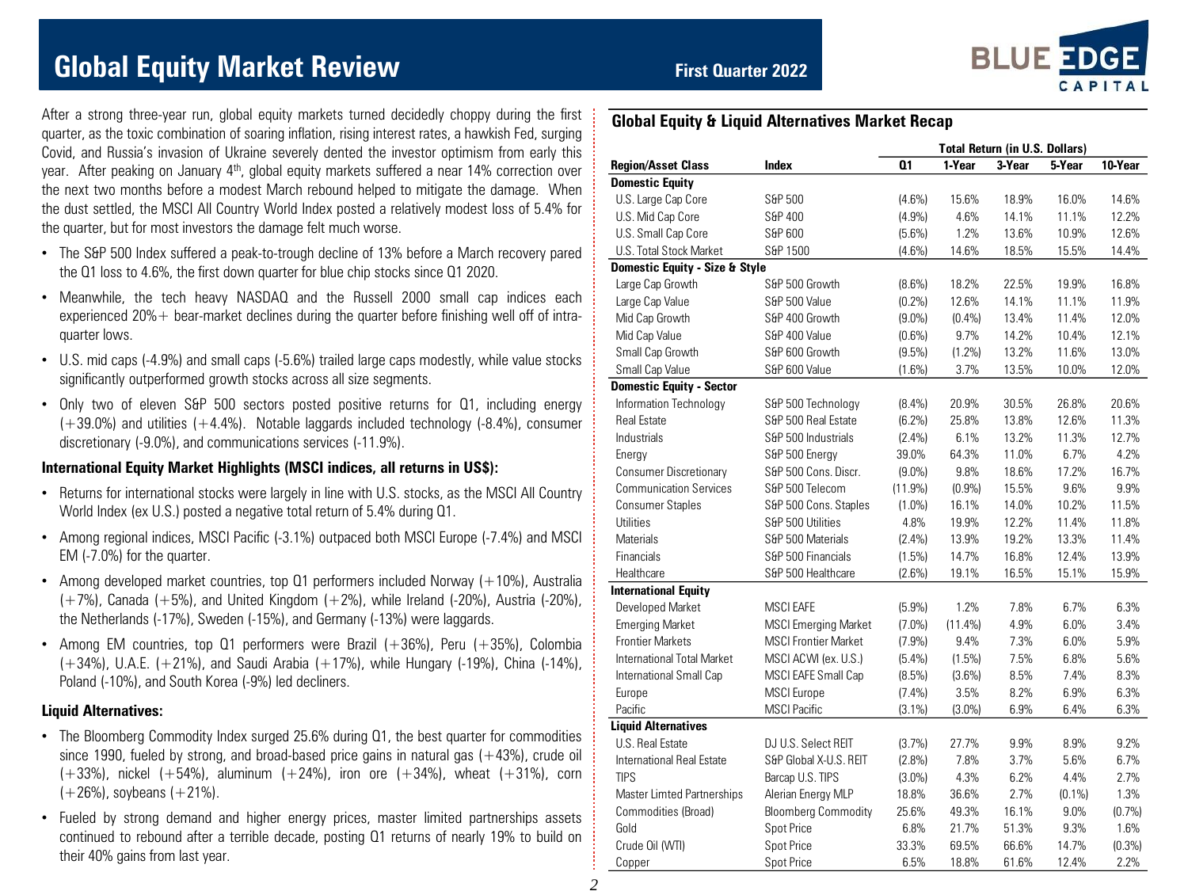# **Global Equity Market Review First Quarter 2022**

After a strong three-year run, global equity markets turned decidedly choppy during the first quarter, as the toxic combination of soaring inflation, rising interest rates, a hawkish Fed, surging Covid, and Russia's invasion of Ukraine severely dented the investor optimism from early this year. After peaking on January 4<sup>th</sup>, global equity markets suffered a near 14% correction over the next two months before a modest March rebound helped to mitigate the damage. When the dust settled, the MSCI All Country World Index posted a relatively modest loss of 5.4% for the quarter, but for most investors the damage felt much worse.

- The S&P 500 Index suffered a peak-to-trough decline of 13% before a March recovery pared the Q1 loss to 4.6%, the first down quarter for blue chip stocks since Q1 2020.
- Meanwhile, the tech heavy NASDAQ and the Russell 2000 small cap indices each experienced 20% + bear-market declines during the quarter before finishing well off of intraquarter lows.
- U.S. mid caps (-4.9%) and small caps (-5.6%) trailed large caps modestly, while value stocks significantly outperformed growth stocks across all size segments.
- Only two of eleven S&P 500 sectors posted positive returns for Q1, including energy  $(+39.0%)$  and utilities  $(+4.4%)$ . Notable laggards included technology  $(-8.4%)$ , consumer discretionary (-9.0%), and communications services (-11.9%).

#### **International Equity Market Highlights (MSCI indices, all returns in US\$):**

- Returns for international stocks were largely in line with U.S. stocks, as the MSCI All Country World Index (ex U.S.) posted a negative total return of 5.4% during Q1.
- Among regional indices, MSCI Pacific (-3.1%) outpaced both MSCI Europe (-7.4%) and MSCI EM (-7.0%) for the quarter.
- Among developed market countries, top Q1 performers included Norway (+10%), Australia  $(+7%)$ , Canada  $(+5%)$ , and United Kingdom  $(+2%)$ , while Ireland  $(-20%)$ , Austria  $(-20%)$ , the Netherlands (-17%), Sweden (-15%), and Germany (-13%) were laggards.
- Among EM countries, top Q1 performers were Brazil  $(+36%)$ , Peru  $(+35%)$ , Colombia (+34%), U.A.E. (+21%), and Saudi Arabia (+17%), while Hungary (-19%), China (-14%), Poland (-10%), and South Korea (-9%) led decliners.

#### **Liquid Alternatives:**

- The Bloomberg Commodity Index surged 25.6% during Q1, the best quarter for commodities since 1990, fueled by strong, and broad-based price gains in natural gas  $(+43%)$ , crude oil  $(+33%)$ , nickel  $(+54%)$ , aluminum  $(+24%)$ , iron ore  $(+34%)$ , wheat  $(+31%)$ , corn  $(+26%)$ , soybeans  $(+21%)$ .
- Fueled by strong demand and higher energy prices, master limited partnerships assets continued to rebound after a terrible decade, posting Q1 returns of nearly 19% to build on their 40% gains from last year.

### **Global Equity & Liquid Alternatives Market Recap**

|                                    |                             |                |            | <b>Total Return (in U.S. Dollars)</b> | 5-Year<br>16.0%<br>11.1%<br>10.9%<br>15.5%<br>19.9%<br>11.1%<br>11.4%<br>10.4%<br>11.6%<br>10.0%<br>26.8%<br>12.6%<br>11.3%<br>6.7%<br>17.2%<br>9.6%<br>10.2%<br>11.4%<br>13.3%<br>12.4%<br>15.1%<br>6.7%<br>6.0%<br>6.0%<br>6.8%<br>7.4%<br>6.9%<br>6.4%<br>8.9%<br>5.6% |         |
|------------------------------------|-----------------------------|----------------|------------|---------------------------------------|---------------------------------------------------------------------------------------------------------------------------------------------------------------------------------------------------------------------------------------------------------------------------|---------|
| <b>Region/Asset Class</b><br>Index |                             | Q <sub>1</sub> | 1-Year     | 3-Year                                |                                                                                                                                                                                                                                                                           | 10-Year |
| <b>Domestic Equity</b>             |                             |                |            |                                       |                                                                                                                                                                                                                                                                           |         |
| U.S. Large Cap Core                | S&P 500                     | $(4.6\%)$      | 15.6%      | 18.9%                                 |                                                                                                                                                                                                                                                                           | 14.6%   |
| U.S. Mid Cap Core                  | S&P 400                     | (4.9%)         | 4.6%       | 14.1%                                 |                                                                                                                                                                                                                                                                           | 12.2%   |
| U.S. Small Cap Core                | S&P 600                     | $(5.6\%)$      | 1.2%       | 13.6%                                 |                                                                                                                                                                                                                                                                           | 12.6%   |
| U.S. Total Stock Market            | S&P 1500                    | (4.6%)         | 14.6%      | 18.5%                                 |                                                                                                                                                                                                                                                                           | 14.4%   |
| Domestic Equity - Size & Style     |                             |                |            |                                       |                                                                                                                                                                                                                                                                           |         |
| Large Cap Growth                   | S&P 500 Growth              | (8.6%)         | 18.2%      | 22.5%                                 |                                                                                                                                                                                                                                                                           | 16.8%   |
| Large Cap Value                    | S&P 500 Value               | (0.2%)         | 12.6%      | 14.1%                                 |                                                                                                                                                                                                                                                                           | 11.9%   |
| Mid Cap Growth                     | S&P 400 Growth              | $(9.0\%)$      | (0.4%      | 13.4%                                 |                                                                                                                                                                                                                                                                           | 12.0%   |
| Mid Cap Value                      | S&P 400 Value               | $(0.6\%)$      | 9.7%       | 14.2%                                 |                                                                                                                                                                                                                                                                           | 12.1%   |
| Small Cap Growth                   | S&P 600 Growth              | (9.5%)         | (1.2%)     | 13.2%                                 |                                                                                                                                                                                                                                                                           | 13.0%   |
| Small Cap Value                    | S&P 600 Value               | $(1.6\%)$      | 3.7%       | 13.5%                                 |                                                                                                                                                                                                                                                                           | 12.0%   |
| <b>Domestic Equity - Sector</b>    |                             |                |            |                                       |                                                                                                                                                                                                                                                                           |         |
| Information Technology             | S&P 500 Technology          | (8.4%)         | 20.9%      | 30.5%                                 |                                                                                                                                                                                                                                                                           | 20.6%   |
| <b>Real Estate</b>                 | S&P 500 Real Estate         | (6.2%)         | 25.8%      | 13.8%                                 |                                                                                                                                                                                                                                                                           | 11.3%   |
| Industrials                        | S&P 500 Industrials         | $(2.4\%)$      | 6.1%       | 13.2%                                 |                                                                                                                                                                                                                                                                           | 12.7%   |
| Energy                             | S&P 500 Energy              | 39.0%          | 64.3%      | 11.0%                                 |                                                                                                                                                                                                                                                                           | 4.2%    |
| <b>Consumer Discretionary</b>      | S&P 500 Cons. Discr.        | $(9.0\%)$      | 9.8%       | 18.6%                                 |                                                                                                                                                                                                                                                                           | 16.7%   |
| <b>Communication Services</b>      | S&P 500 Telecom             | (11.9%)        | (0.9%      | 15.5%                                 |                                                                                                                                                                                                                                                                           | 9.9%    |
| <b>Consumer Staples</b>            | S&P 500 Cons. Staples       | $(1.0\%)$      | 16.1%      | 14.0%                                 |                                                                                                                                                                                                                                                                           | 11.5%   |
| Utilities                          | S&P 500 Utilities           | 4.8%           | 19.9%      | 12.2%                                 |                                                                                                                                                                                                                                                                           | 11.8%   |
| <b>Materials</b>                   | S&P 500 Materials           | (2.4%)         | 13.9%      | 19.2%                                 |                                                                                                                                                                                                                                                                           | 11.4%   |
| Financials                         | S&P 500 Financials          | (1.5%)         | 14.7%      | 16.8%                                 |                                                                                                                                                                                                                                                                           | 13.9%   |
| Healthcare                         | S&P 500 Healthcare          | (2.6%)         | 19.1%      | 16.5%                                 |                                                                                                                                                                                                                                                                           | 15.9%   |
| <b>International Equity</b>        |                             |                |            |                                       |                                                                                                                                                                                                                                                                           |         |
| Developed Market                   | <b>MSCI EAFE</b>            | (5.9%)         | 1.2%       | 7.8%                                  |                                                                                                                                                                                                                                                                           | 6.3%    |
| <b>Emerging Market</b>             | <b>MSCI</b> Emerging Market | $(7.0\%)$      | $(11.4\%)$ | 4.9%                                  |                                                                                                                                                                                                                                                                           | 3.4%    |
| <b>Frontier Markets</b>            | <b>MSCI Frontier Market</b> | (7.9%)         | 9.4%       | 7.3%                                  |                                                                                                                                                                                                                                                                           | 5.9%    |
| International Total Market         | MSCI ACWI (ex. U.S.)        | $(5.4\%)$      | (1.5%)     | 7.5%                                  |                                                                                                                                                                                                                                                                           | 5.6%    |
| International Small Cap            | MSCI EAFE Small Cap         | (8.5%)         | (3.6%)     | 8.5%                                  |                                                                                                                                                                                                                                                                           | 8.3%    |
| Europe                             | <b>MSCI</b> Europe          | $(7.4\%)$      | 3.5%       | 8.2%                                  |                                                                                                                                                                                                                                                                           | 6.3%    |
| Pacific                            | <b>MSCI</b> Pacific         | $(3.1\%)$      | $(3.0\%)$  | 6.9%                                  |                                                                                                                                                                                                                                                                           | 6.3%    |
| <b>Liquid Alternatives</b>         |                             |                |            |                                       |                                                                                                                                                                                                                                                                           |         |
| U.S. Real Estate                   | DJ U.S. Select REIT         | (3.7%)         | 27.7%      | 9.9%                                  |                                                                                                                                                                                                                                                                           | 9.2%    |
| International Real Estate          | S&P Global X-U.S. REIT      | $(2.8\%)$      | 7.8%       | 3.7%                                  |                                                                                                                                                                                                                                                                           | 6.7%    |
| <b>TIPS</b>                        | Barcap U.S. TIPS            | $(3.0\%)$      | 4.3%       | 6.2%                                  | 4.4%                                                                                                                                                                                                                                                                      | 2.7%    |
| Master Limted Partnerships         | Alerian Energy MLP          | 18.8%          | 36.6%      | 2.7%                                  | $(0.1\%)$                                                                                                                                                                                                                                                                 | 1.3%    |
| Commodities (Broad)                | <b>Bloomberg Commodity</b>  | 25.6%          | 49.3%      | 16.1%                                 | 9.0%                                                                                                                                                                                                                                                                      | (0.7%   |
| Gold                               | <b>Spot Price</b>           | 6.8%           | 21.7%      | 51.3%                                 | 9.3%                                                                                                                                                                                                                                                                      | 1.6%    |
| Crude Oil (WTI)                    | Spot Price                  | 33.3%          | 69.5%      | 66.6%                                 | 14.7%                                                                                                                                                                                                                                                                     | (0.3%)  |
| Copper                             | <b>Spot Price</b>           | 6.5%           | 18.8%      | 61.6%                                 | 12.4%                                                                                                                                                                                                                                                                     | 2.2%    |

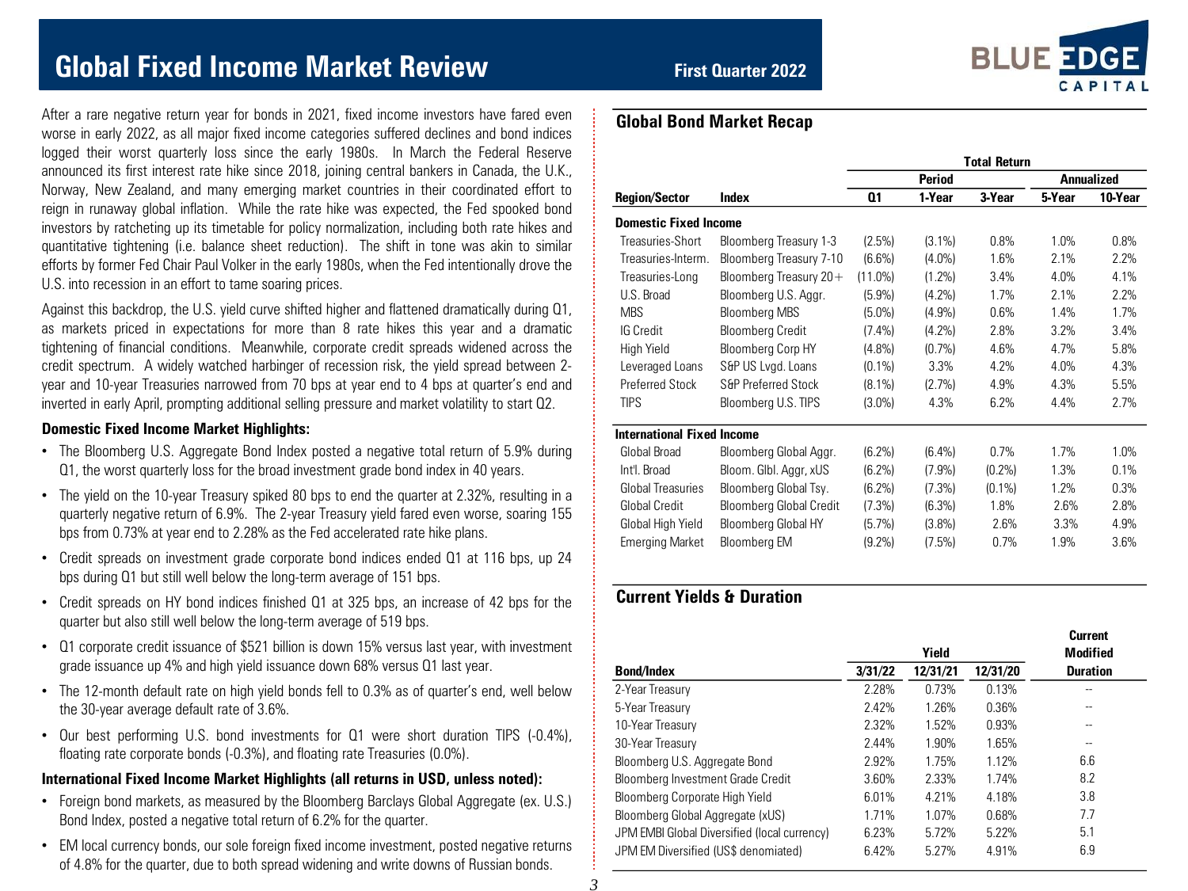# **Global Fixed Income Market Review <b>***First Quarter 2022*

After a rare negative return year for bonds in 2021, fixed income investors have fared even worse in early 2022, as all major fixed income categories suffered declines and bond indices logged their worst quarterly loss since the early 1980s. In March the Federal Reserve announced its first interest rate hike since 2018, joining central bankers in Canada, the U.K., Norway, New Zealand, and many emerging market countries in their coordinated effort to reign in runaway global inflation. While the rate hike was expected, the Fed spooked bond investors by ratcheting up its timetable for policy normalization, including both rate hikes and quantitative tightening (i.e. balance sheet reduction). The shift in tone was akin to similar efforts by former Fed Chair Paul Volker in the early 1980s, when the Fed intentionally drove the U.S. into recession in an effort to tame soaring prices.

Against this backdrop, the U.S. yield curve shifted higher and flattened dramatically during Q1, as markets priced in expectations for more than 8 rate hikes this year and a dramatic tightening of financial conditions. Meanwhile, corporate credit spreads widened across the credit spectrum. A widely watched harbinger of recession risk, the yield spread between 2 year and 10-year Treasuries narrowed from 70 bps at year end to 4 bps at quarter's end and inverted in early April, prompting additional selling pressure and market volatility to start Q2.

### **Domestic Fixed Income Market Highlights:**

- The Bloomberg U.S. Aggregate Bond Index posted a negative total return of 5.9% during Q1, the worst quarterly loss for the broad investment grade bond index in 40 years.
- The yield on the 10-year Treasury spiked 80 bps to end the quarter at 2.32%, resulting in a quarterly negative return of 6.9%. The 2-year Treasury yield fared even worse, soaring 155 bps from 0.73% at year end to 2.28% as the Fed accelerated rate hike plans.
- Credit spreads on investment grade corporate bond indices ended Q1 at 116 bps, up 24 bps during Q1 but still well below the long-term average of 151 bps.
- Credit spreads on HY bond indices finished Q1 at 325 bps, an increase of 42 bps for the quarter but also still well below the long-term average of 519 bps.
- Q1 corporate credit issuance of \$521 billion is down 15% versus last year, with investment grade issuance up 4% and high yield issuance down 68% versus Q1 last year.
- The 12-month default rate on high yield bonds fell to 0.3% as of quarter's end, well below the 30-year average default rate of 3.6%.
- Our best performing U.S. bond investments for Q1 were short duration TIPS (-0.4%), floating rate corporate bonds (-0.3%), and floating rate Treasuries (0.0%).

#### **International Fixed Income Market Highlights (all returns in USD, unless noted):**

- Foreign bond markets, as measured by the Bloomberg Barclays Global Aggregate (ex. U.S.) Bond Index, posted a negative total return of 6.2% for the quarter.
- EM local currency bonds, our sole foreign fixed income investment, posted negative returns of 4.8% for the quarter, due to both spread widening and write downs of Russian bonds.



|                                   |                                | <b>Total Return</b> |               |           |        |                   |  |  |  |
|-----------------------------------|--------------------------------|---------------------|---------------|-----------|--------|-------------------|--|--|--|
|                                   |                                |                     | <b>Period</b> |           |        | <b>Annualized</b> |  |  |  |
| <b>Region/Sector</b>              | Index                          | 01                  | 1-Year        | 3-Year    | 5-Year | 10-Year           |  |  |  |
| <b>Domestic Fixed Income</b>      |                                |                     |               |           |        |                   |  |  |  |
| Treasuries-Short                  | Bloomberg Treasury 1-3         | (2.5%)              | $(3.1\%)$     | 0.8%      | 1.0%   | 0.8%              |  |  |  |
| Treasuries-Interm.                | Bloomberg Treasury 7-10        | $(6.6\%)$           | $(4.0\%)$     | 1.6%      | 2.1%   | 2.2%              |  |  |  |
| Treasuries-Long                   | Bloomberg Treasury $20+$       | $(11.0\%)$          | $(1.2\%)$     | 3.4%      | 4.0%   | 4.1%              |  |  |  |
| U.S. Broad                        | Bloomberg U.S. Aggr.           | (5.9%)              | $(4.2\%)$     | 1.7%      | 2.1%   | 2.2%              |  |  |  |
| <b>MBS</b>                        | <b>Bloomberg MBS</b>           | $(5.0\%)$           | (4.9%)        | 0.6%      | 1.4%   | 1.7%              |  |  |  |
| <b>IG Credit</b>                  | <b>Bloomberg Credit</b>        | $(7.4\%)$           | (4.2%)        | 2.8%      | 3.2%   | 3.4%              |  |  |  |
| High Yield                        | <b>Bloomberg Corp HY</b>       | $(4.8\%)$           | (0.7%         | 4.6%      | 4.7%   | 5.8%              |  |  |  |
| Leveraged Loans                   | S&P US Lvgd. Loans             | $(0.1\%)$           | 3.3%          | 4.2%      | 4.0%   | 4.3%              |  |  |  |
| <b>Preferred Stock</b>            | <b>S&amp;P Preferred Stock</b> | $(8.1\%)$           | (2.7%)        | 4.9%      | 4.3%   | 5.5%              |  |  |  |
| <b>TIPS</b>                       | Bloomberg U.S. TIPS            | $(3.0\%)$           | 4.3%          | 6.2%      | 4.4%   | 2.7%              |  |  |  |
| <b>International Fixed Income</b> |                                |                     |               |           |        |                   |  |  |  |
| Global Broad                      | Bloomberg Global Aggr.         | $(6.2\%)$           | $(6.4\%)$     | 0.7%      | 1.7%   | 1.0%              |  |  |  |
| Int'l. Broad                      | Bloom, Glbl, Aggr, xUS         | $(6.2\%)$           | (7.9%)        | $(0.2\%)$ | 1.3%   | 0.1%              |  |  |  |
| <b>Global Treasuries</b>          | Bloomberg Global Tsy.          | $(6.2\%)$           | (7.3%)        | $(0.1\%)$ | 1.2%   | 0.3%              |  |  |  |
| <b>Global Credit</b>              | <b>Bloomberg Global Credit</b> | (7.3%)              | (6.3%)        | 1.8%      | 2.6%   | 2.8%              |  |  |  |
| Global High Yield                 | Bloomberg Global HY            | (5.7%)              | (3.8%)        | 2.6%      | 3.3%   | 4.9%              |  |  |  |
| <b>Emerging Market</b>            | Bloomberg EM                   | $(9.2\%)$           | (7.5%)        | 0.7%      | 1.9%   | 3.6%              |  |  |  |

## **Current Yields & Duration**

|                                              |         | Yield    |          | <b>Current</b><br>Modified |  |
|----------------------------------------------|---------|----------|----------|----------------------------|--|
| Bond/Index                                   | 3/31/22 | 12/31/21 | 12/31/20 | <b>Duration</b>            |  |
| 2-Year Treasurv                              | 2.28%   | 0.73%    | 0.13%    |                            |  |
| 5-Year Treasury                              | 2.42%   | 1.26%    | 0.36%    |                            |  |
| 10-Year Treasurv                             | 2.32%   | 1.52%    | 0.93%    |                            |  |
| 30-Year Treasury                             | 2.44%   | 1.90%    | 1.65%    | --                         |  |
| Bloomberg U.S. Aggregate Bond                | 2.92%   | 1.75%    | 1.12%    | 6.6                        |  |
| Bloomberg Investment Grade Credit            | 3.60%   | 2.33%    | 1.74%    | 8.2                        |  |
| Bloomberg Corporate High Yield               | 6.01%   | 4.21%    | 4.18%    | 3.8                        |  |
| Bloomberg Global Aggregate (xUS)             | 1.71%   | 1.07%    | 0.68%    | 7.7                        |  |
| JPM EMBI Global Diversified (local currency) | 6.23%   | 5.72%    | 5.22%    | 5.1                        |  |
| JPM EM Diversified (US\$ denomiated)         | 6.42%   | 5.27%    | 4.91%    | 6.9                        |  |
|                                              |         |          |          |                            |  |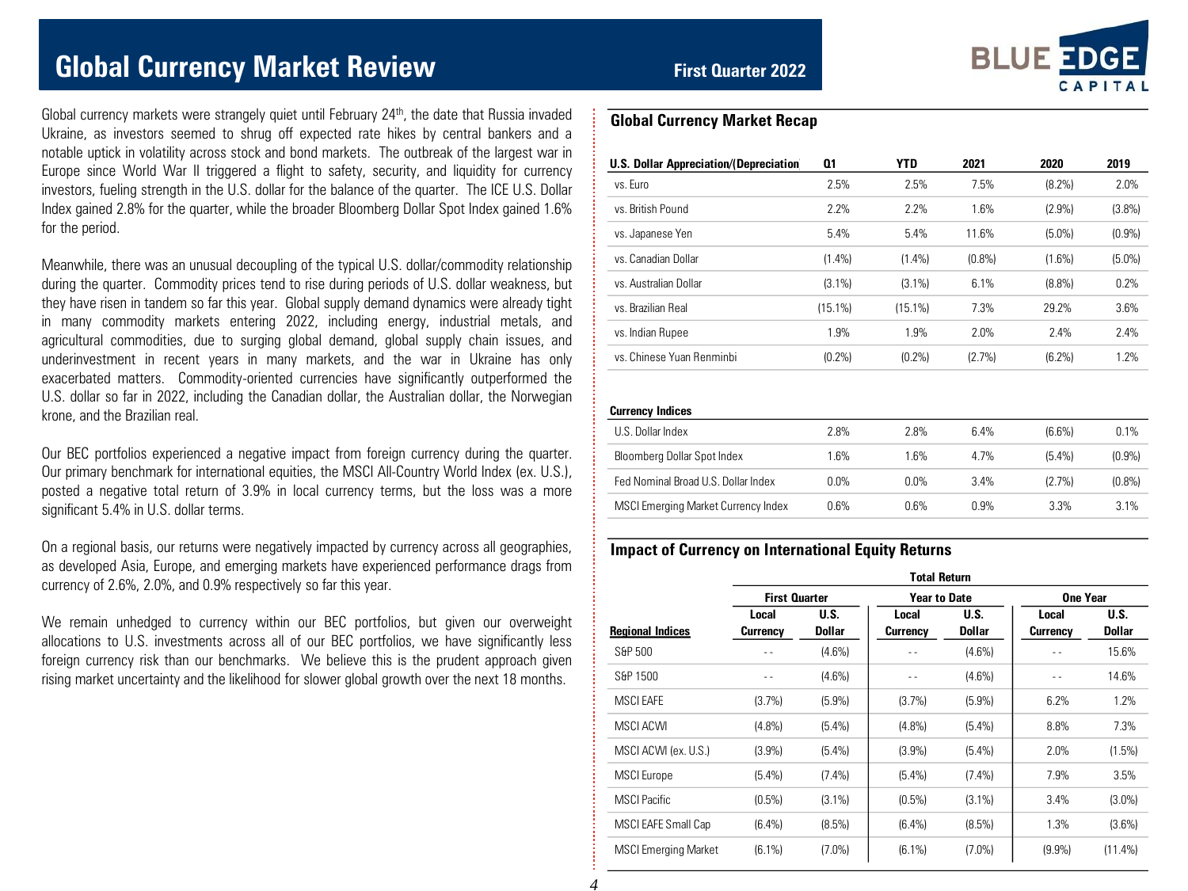# **Global Currency Market Review Example 2022** First Quarter 2022

Global currency markets were strangely quiet until February 24<sup>th</sup>, the date that Russia invaded Ukraine, as investors seemed to shrug off expected rate hikes by central bankers and a notable uptick in volatility across stock and bond markets. The outbreak of the largest war in Europe since World War II triggered a flight to safety, security, and liquidity for currency investors, fueling strength in the U.S. dollar for the balance of the quarter. The ICE U.S. Dollar Index gained 2.8% for the quarter, while the broader Bloomberg Dollar Spot Index gained 1.6% for the period.

Meanwhile, there was an unusual decoupling of the typical U.S. dollar/commodity relationship during the quarter. Commodity prices tend to rise during periods of U.S. dollar weakness, but they have risen in tandem so far this year. Global supply demand dynamics were already tight in many commodity markets entering 2022, including energy, industrial metals, and agricultural commodities, due to surging global demand, global supply chain issues, and underinvestment in recent years in many markets, and the war in Ukraine has only exacerbated matters. Commodity-oriented currencies have significantly outperformed the U.S. dollar so far in 2022, including the Canadian dollar, the Australian dollar, the Norwegian krone, and the Brazilian real.

Our BEC portfolios experienced a negative impact from foreign currency during the quarter. Our primary benchmark for international equities, the MSCI All-Country World Index (ex. U.S.), posted a negative total return of 3.9% in local currency terms, but the loss was a more significant 5.4% in U.S. dollar terms.

On a regional basis, our returns were negatively impacted by currency across all geographies, as developed Asia, Europe, and emerging markets have experienced performance drags from currency of 2.6%, 2.0%, and 0.9% respectively so far this year.

We remain unhedged to currency within our BEC portfolios, but given our overweight allocations to U.S. investments across all of our BEC portfolios, we have significantly less foreign currency risk than our benchmarks. We believe this is the prudent approach given rising market uncertainty and the likelihood for slower global growth over the next 18 months.



### **Global Currency Market Recap**

| U.S. Dollar Appreciation/(Depreciation | Q1         | <b>YTD</b> | 2021   | 2020      | 2019      |
|----------------------------------------|------------|------------|--------|-----------|-----------|
| vs. Furo                               | 2.5%       | 2.5%       | 7.5%   | $(8.2\%)$ | 2.0%      |
| vs. British Pound                      | 2.2%       | 2.2%       | 1.6%   | (2.9%)    | (3.8%)    |
| vs. Japanese Yen                       | 5.4%       | 5.4%       | 11.6%  | (5.0%)    | (0.9%     |
| ys Canadian Dollar                     | $(1.4\%)$  | $(1.4\%)$  | (0.8%  | $(1.6\%)$ | $(5.0\%)$ |
| vs. Australian Dollar                  | $(3.1\%)$  | $(3.1\%)$  | 6.1%   | $(8.8\%)$ | 0.2%      |
| vs. Brazilian Real                     | $(15.1\%)$ | $(15.1\%)$ | 7.3%   | 29.2%     | 3.6%      |
| vs. Indian Rupee                       | 1.9%       | 1.9%       | 2.0%   | 7.4%      | 7.4%      |
| ys. Chinese Yuan Renminbi              | (0.2%      | (0.2%      | (2.7%) | $(6.2\%)$ | 1.2%      |
|                                        |            |            |        |           |           |

#### **Currency Indices**

| 941191011101000                     |         |         |      |           |           |
|-------------------------------------|---------|---------|------|-----------|-----------|
| U.S. Dollar Index                   | 2.8%    | 2.8%    | 6.4% | $(6.6\%)$ | 0.1%      |
| Bloomberg Dollar Spot Index         | 1.6%    | 1 6%    | 4 7% | $(5.4\%)$ | (0.9%     |
| Fed Nominal Broad U.S. Dollar Index | $0.0\%$ | $0.0\%$ | 3.4% | $(2.7\%)$ | $(0.8\%)$ |
| MSCI Emerging Market Currency Index | 0.6%    | በ 6%    | በ 9% | 3.3%      | 3.1%      |
|                                     |         |         |      |           |           |

### **Impact of Currency on International Equity Returns**

|                             | <b>Total Return</b>  |                |                     |                |                   |                       |  |  |  |  |
|-----------------------------|----------------------|----------------|---------------------|----------------|-------------------|-----------------------|--|--|--|--|
|                             | <b>First Quarter</b> |                | <b>Year to Date</b> |                | One Year          |                       |  |  |  |  |
| <b>Regional Indices</b>     | Local<br>Currency    | U.S.<br>Dollar | Local<br>Currency   | U.S.<br>Dollar | Local<br>Currency | U.S.<br><b>Dollar</b> |  |  |  |  |
| S&P 500                     |                      | $(4.6\%)$      |                     | $(4.6\%)$      |                   | 15.6%                 |  |  |  |  |
| S&P 1500                    | $ -$                 | $(4.6\%)$      | $ -$                | $(4.6\%)$      | - -               | 14.6%                 |  |  |  |  |
| <b>MSCI FAFF</b>            | (3.7%)               | (5.9%)         | (3.7%)              | (5.9%)         | 6.2%              | 1.2%                  |  |  |  |  |
| MSCI ACWI                   | $(4.8\%)$            | $(5.4\%)$      | (4.8%)              | $(5.4\%)$      | 8.8%              | 7.3%                  |  |  |  |  |
| MSCI ACWI (ex. U.S.)        | $(3.9\%)$            | $(5.4\%)$      | (3.9%)              | (5.4%)         | 2.0%              | $(1.5\%)$             |  |  |  |  |
| <b>MSCI</b> Europe          | $(5.4\%)$            | $(7.4\%)$      | (5.4%)              | $(7.4\%)$      | 7.9%              | 3.5%                  |  |  |  |  |
| <b>MSCI Pacific</b>         | $(0.5\%)$            | $(3.1\%)$      | $(0.5\%)$           | $(3.1\%)$      | 3.4%              | $(3.0\%)$             |  |  |  |  |
| MSCI EAFE Small Cap         | $(6.4\%)$            | (8.5%)         | $(6.4\%)$           | $(8.5\%)$      | 1.3%              | $(3.6\%)$             |  |  |  |  |
| <b>MSCI Emerging Market</b> | $(6.1\%)$            | $(7.0\%)$      | $(6.1\%)$           | $(7.0\%)$      | (9.9%             | $(11.4\%)$            |  |  |  |  |